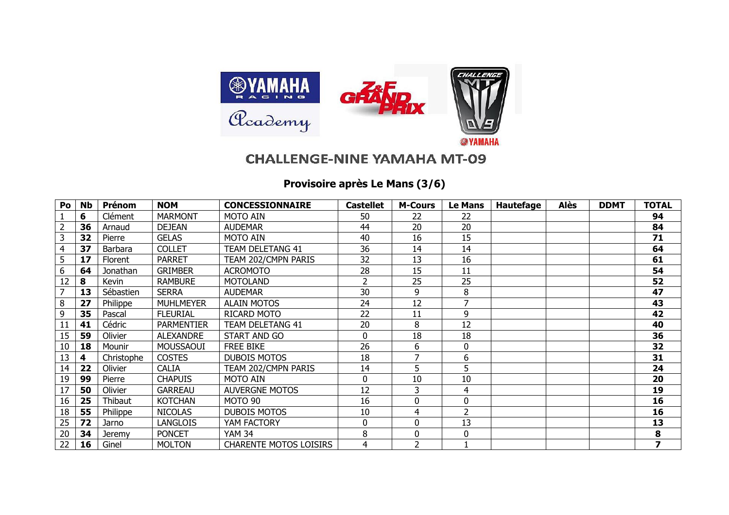

## **CHALLENGE-NINE YAMAHA MT-09**

## **Provisoire après Le Mans (3/6)**

| Po | <b>Nb</b> | Prénom         | <b>NOM</b>        | <b>CONCESSIONNAIRE</b>        | <b>Castellet</b> | <b>M-Cours</b> | Le Mans | Hautefage | Alès | <b>DDMT</b> | <b>TOTAL</b> |
|----|-----------|----------------|-------------------|-------------------------------|------------------|----------------|---------|-----------|------|-------------|--------------|
|    | 6         | Clément        | <b>MARMONT</b>    | <b>MOTO AIN</b>               | 50               | 22             | 22      |           |      |             | 94           |
|    | 36        | Arnaud         | <b>DEJEAN</b>     | <b>AUDEMAR</b>                | 44               | 20             | 20      |           |      |             | 84           |
|    | 32        | Pierre         | <b>GELAS</b>      | <b>MOTO AIN</b>               | 40               | 16             | 15      |           |      |             | 71           |
|    | 37        | Barbara        | <b>COLLET</b>     | TEAM DELETANG 41              | 36               | 14             | 14      |           |      |             | 64           |
| 5  | 17        | <b>Florent</b> | <b>PARRET</b>     | TEAM 202/CMPN PARIS           | 32               | 13             | 16      |           |      |             | 61           |
| 6  | 64        | Jonathan       | <b>GRIMBER</b>    | <b>ACROMOTO</b>               | 28               | 15             | 11      |           |      |             | 54           |
| 12 | 8         | Kevin          | <b>RAMBURE</b>    | <b>MOTOLAND</b>               | 2                | 25             | 25      |           |      |             | 52           |
|    | 13        | Sébastien      | <b>SERRA</b>      | <b>AUDEMAR</b>                | 30               | 9              | 8       |           |      |             | 47           |
| 8  | 27        | Philippe       | <b>MUHLMEYER</b>  | <b>ALAIN MOTOS</b>            | 24               | 12             |         |           |      |             | 43           |
| 9  | 35        | Pascal         | <b>FLEURIAL</b>   | RICARD MOTO                   | 22               | 11             | 9       |           |      |             | 42           |
| 11 | 41        | Cédric         | <b>PARMENTIER</b> | TEAM DELETANG 41              | 20               | 8              | 12      |           |      |             | 40           |
| 15 | 59        | Olivier        | <b>ALEXANDRE</b>  | START AND GO                  | 0                | 18             | 18      |           |      |             | 36           |
| 10 | 18        | Mounir         | MOUSSAOUI         | <b>FREE BIKE</b>              | 26               | 6              | 0       |           |      |             | 32           |
| 13 | 4         | Christophe     | <b>COSTES</b>     | <b>DUBOIS MOTOS</b>           | 18               |                | 6       |           |      |             | 31           |
| 14 | 22        | Olivier        | <b>CALIA</b>      | TEAM 202/CMPN PARIS           | 14               | 5              | 5       |           |      |             | 24           |
| 19 | 99        | Pierre         | <b>CHAPUIS</b>    | <b>MOTO AIN</b>               | 0                | 10             | 10      |           |      |             | 20           |
| 17 | 50        | Olivier        | <b>GARREAU</b>    | <b>AUVERGNE MOTOS</b>         | 12               | 3              | 4       |           |      |             | 19           |
| 16 | 25        | Thibaut        | <b>KOTCHAN</b>    | MOTO 90                       | 16               | 0              |         |           |      |             | 16           |
| 18 | 55        | Philippe       | <b>NICOLAS</b>    | <b>DUBOIS MOTOS</b>           | 10               | 4              |         |           |      |             | 16           |
| 25 | 72        | Jarno          | <b>LANGLOIS</b>   | YAM FACTORY                   | 0                | 0              | 13      |           |      |             | 13           |
| 20 | 34        | Jeremy         | <b>PONCET</b>     | <b>YAM 34</b>                 | 8                | 0              | 0       |           |      |             | 8            |
| 22 | 16        | Ginel          | <b>MOLTON</b>     | <b>CHARENTE MOTOS LOISIRS</b> | 4                | $\overline{2}$ |         |           |      |             | 7            |